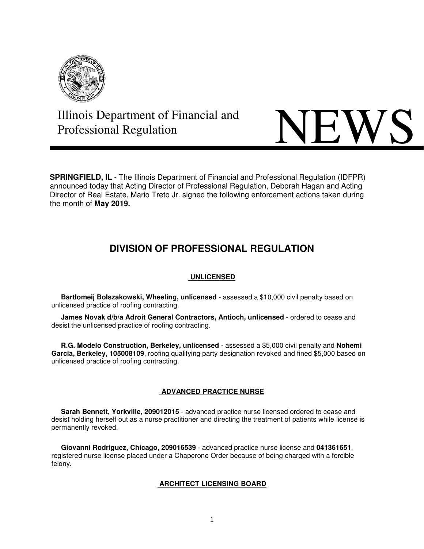

# **Illinois Department of Financial and NEWS**

**SPRINGFIELD, IL** - The Illinois Department of Financial and Professional Regulation (IDFPR) announced today that Acting Director of Professional Regulation, Deborah Hagan and Acting Director of Real Estate, Mario Treto Jr. signed the following enforcement actions taken during the month of **May 2019.** 

# **DIVISION OF PROFESSIONAL REGULATION**

# **UNLICENSED**

 **Bartlomeij Bolszakowski, Wheeling, unlicensed** - assessed a \$10,000 civil penalty based on unlicensed practice of roofing contracting.

 **James Novak d/b/a Adroit General Contractors, Antioch, unlicensed** - ordered to cease and desist the unlicensed practice of roofing contracting.

 **R.G. Modelo Construction, Berkeley, unlicensed** - assessed a \$5,000 civil penalty and **Nohemi Garcia, Berkeley, 105008109**, roofing qualifying party designation revoked and fined \$5,000 based on unlicensed practice of roofing contracting.

## **ADVANCED PRACTICE NURSE**

 **Sarah Bennett, Yorkville, 209012015** - advanced practice nurse licensed ordered to cease and desist holding herself out as a nurse practitioner and directing the treatment of patients while license is permanently revoked.

 **Giovanni Rodriguez, Chicago, 209016539** - advanced practice nurse license and **041361651**, registered nurse license placed under a Chaperone Order because of being charged with a forcible felony.

## **ARCHITECT LICENSING BOARD**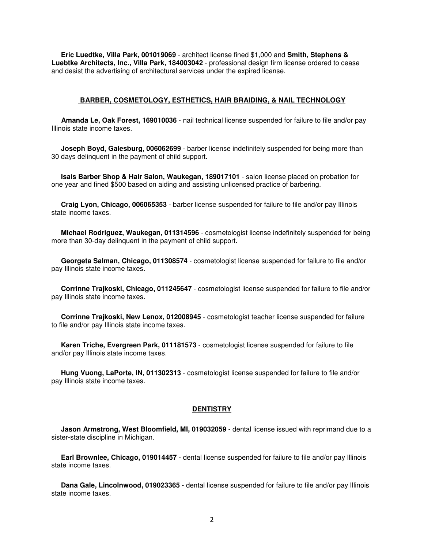**Eric Luedtke, Villa Park, 001019069** - architect license fined \$1,000 and **Smith, Stephens & Luebtke Architects, Inc., Villa Park, 184003042** - professional design firm license ordered to cease and desist the advertising of architectural services under the expired license.

#### **BARBER, COSMETOLOGY, ESTHETICS, HAIR BRAIDING, & NAIL TECHNOLOGY**

 **Amanda Le, Oak Forest, 169010036** - nail technical license suspended for failure to file and/or pay Illinois state income taxes.

 **Joseph Boyd, Galesburg, 006062699** - barber license indefinitely suspended for being more than 30 days delinquent in the payment of child support.

 **Isais Barber Shop & Hair Salon, Waukegan, 189017101** - salon license placed on probation for one year and fined \$500 based on aiding and assisting unlicensed practice of barbering.

 **Craig Lyon, Chicago, 006065353** - barber license suspended for failure to file and/or pay Illinois state income taxes.

 **Michael Rodriguez, Waukegan, 011314596** - cosmetologist license indefinitely suspended for being more than 30-day delinquent in the payment of child support.

 **Georgeta Salman, Chicago, 011308574** - cosmetologist license suspended for failure to file and/or pay Illinois state income taxes.

 **Corrinne Trajkoski, Chicago, 011245647** - cosmetologist license suspended for failure to file and/or pay Illinois state income taxes.

 **Corrinne Trajkoski, New Lenox, 012008945** - cosmetologist teacher license suspended for failure to file and/or pay Illinois state income taxes.

 **Karen Triche, Evergreen Park, 011181573** - cosmetologist license suspended for failure to file and/or pay Illinois state income taxes.

 **Hung Vuong, LaPorte, IN, 011302313** - cosmetologist license suspended for failure to file and/or pay Illinois state income taxes.

#### **DENTISTRY**

 **Jason Armstrong, West Bloomfield, MI, 019032059** - dental license issued with reprimand due to a sister-state discipline in Michigan.

 **Earl Brownlee, Chicago, 019014457** - dental license suspended for failure to file and/or pay Illinois state income taxes.

 **Dana Gale, Lincolnwood, 019023365** - dental license suspended for failure to file and/or pay Illinois state income taxes.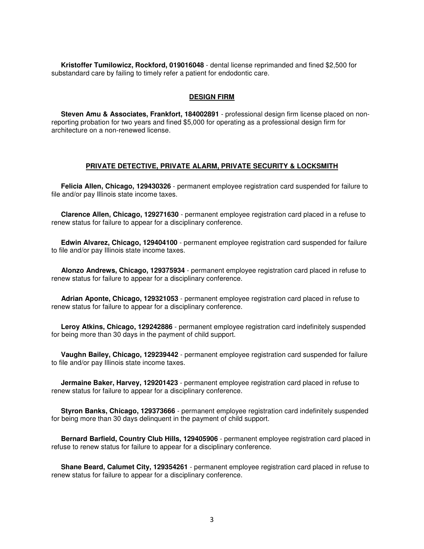**Kristoffer Tumilowicz, Rockford, 019016048** - dental license reprimanded and fined \$2,500 for substandard care by failing to timely refer a patient for endodontic care.

#### **DESIGN FIRM**

 **Steven Amu & Associates, Frankfort, 184002891** - professional design firm license placed on nonreporting probation for two years and fined \$5,000 for operating as a professional design firm for architecture on a non-renewed license.

#### **PRIVATE DETECTIVE, PRIVATE ALARM, PRIVATE SECURITY & LOCKSMITH**

 **Felicia Allen, Chicago, 129430326** - permanent employee registration card suspended for failure to file and/or pay Illinois state income taxes.

 **Clarence Allen, Chicago, 129271630** - permanent employee registration card placed in a refuse to renew status for failure to appear for a disciplinary conference.

 **Edwin Alvarez, Chicago, 129404100** - permanent employee registration card suspended for failure to file and/or pay Illinois state income taxes.

 **Alonzo Andrews, Chicago, 129375934** - permanent employee registration card placed in refuse to renew status for failure to appear for a disciplinary conference.

 **Adrian Aponte, Chicago, 129321053** - permanent employee registration card placed in refuse to renew status for failure to appear for a disciplinary conference.

 **Leroy Atkins, Chicago, 129242886** - permanent employee registration card indefinitely suspended for being more than 30 days in the payment of child support.

 **Vaughn Bailey, Chicago, 129239442** - permanent employee registration card suspended for failure to file and/or pay Illinois state income taxes.

 **Jermaine Baker, Harvey, 129201423** - permanent employee registration card placed in refuse to renew status for failure to appear for a disciplinary conference.

 **Styron Banks, Chicago, 129373666** - permanent employee registration card indefinitely suspended for being more than 30 days delinquent in the payment of child support.

 **Bernard Barfield, Country Club Hills, 129405906** - permanent employee registration card placed in refuse to renew status for failure to appear for a disciplinary conference.

 **Shane Beard, Calumet City, 129354261** - permanent employee registration card placed in refuse to renew status for failure to appear for a disciplinary conference.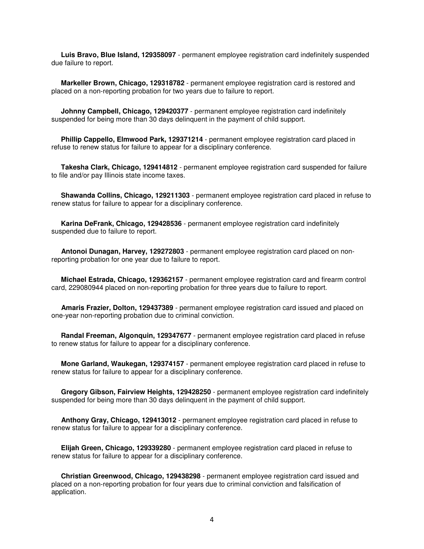**Luis Bravo, Blue Island, 129358097** - permanent employee registration card indefinitely suspended due failure to report.

 **Markeller Brown, Chicago, 129318782** - permanent employee registration card is restored and placed on a non-reporting probation for two years due to failure to report.

**Johnny Campbell, Chicago, 129420377** - permanent employee registration card indefinitely suspended for being more than 30 days delinquent in the payment of child support.

 **Phillip Cappello, Elmwood Park, 129371214** - permanent employee registration card placed in refuse to renew status for failure to appear for a disciplinary conference.

 **Takesha Clark, Chicago, 129414812** - permanent employee registration card suspended for failure to file and/or pay Illinois state income taxes.

 **Shawanda Collins, Chicago, 129211303** - permanent employee registration card placed in refuse to renew status for failure to appear for a disciplinary conference.

 **Karina DeFrank, Chicago, 129428536** - permanent employee registration card indefinitely suspended due to failure to report.

 **Antonoi Dunagan, Harvey, 129272803** - permanent employee registration card placed on nonreporting probation for one year due to failure to report.

 **Michael Estrada, Chicago, 129362157** - permanent employee registration card and firearm control card, 229080944 placed on non-reporting probation for three years due to failure to report.

 **Amaris Frazier, Dolton, 129437389** - permanent employee registration card issued and placed on one-year non-reporting probation due to criminal conviction.

 **Randal Freeman, Algonquin, 129347677** - permanent employee registration card placed in refuse to renew status for failure to appear for a disciplinary conference.

 **Mone Garland, Waukegan, 129374157** - permanent employee registration card placed in refuse to renew status for failure to appear for a disciplinary conference.

 **Gregory Gibson, Fairview Heights, 129428250** - permanent employee registration card indefinitely suspended for being more than 30 days delinquent in the payment of child support.

 **Anthony Gray, Chicago, 129413012** - permanent employee registration card placed in refuse to renew status for failure to appear for a disciplinary conference.

 **Elijah Green, Chicago, 129339280** - permanent employee registration card placed in refuse to renew status for failure to appear for a disciplinary conference.

 **Christian Greenwood, Chicago, 129438298** - permanent employee registration card issued and placed on a non-reporting probation for four years due to criminal conviction and falsification of application.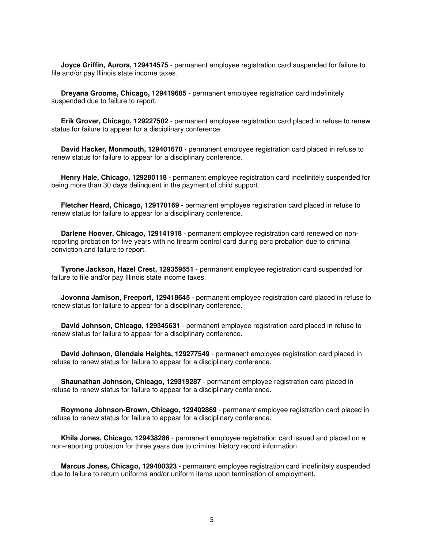**Joyce Griffin, Aurora, 129414575** - permanent employee registration card suspended for failure to file and/or pay Illinois state income taxes.

 **Dreyana Grooms, Chicago, 129419685** - permanent employee registration card indefinitely suspended due to failure to report.

 **Erik Grover, Chicago, 129227502** - permanent employee registration card placed in refuse to renew status for failure to appear for a disciplinary conference.

 **David Hacker, Monmouth, 129401670** - permanent employee registration card placed in refuse to renew status for failure to appear for a disciplinary conference.

 **Henry Hale, Chicago, 129280118** - permanent employee registration card indefinitely suspended for being more than 30 days delinquent in the payment of child support.

 **Fletcher Heard, Chicago, 129170169** - permanent employee registration card placed in refuse to renew status for failure to appear for a disciplinary conference.

 **Darlene Hoover, Chicago, 129141918** - permanent employee registration card renewed on nonreporting probation for five years with no firearm control card during perc probation due to criminal conviction and failure to report.

 **Tyrone Jackson, Hazel Crest, 129359551** - permanent employee registration card suspended for failure to file and/or pay Illinois state income taxes.

 **Jovonna Jamison, Freeport, 129418645** - permanent employee registration card placed in refuse to renew status for failure to appear for a disciplinary conference.

 **David Johnson, Chicago, 129345631** - permanent employee registration card placed in refuse to renew status for failure to appear for a disciplinary conference.

 **David Johnson, Glendale Heights, 129277549** - permanent employee registration card placed in refuse to renew status for failure to appear for a disciplinary conference.

 **Shaunathan Johnson, Chicago, 129319287** - permanent employee registration card placed in refuse to renew status for failure to appear for a disciplinary conference.

 **Roymone Johnson-Brown, Chicago, 129402869** - permanent employee registration card placed in refuse to renew status for failure to appear for a disciplinary conference.

 **Khila Jones, Chicago, 129438286** - permanent employee registration card issued and placed on a non-reporting probation for three years due to criminal history record information.

 **Marcus Jones, Chicago, 129400323** - permanent employee registration card indefinitely suspended due to failure to return uniforms and/or uniform items upon termination of employment.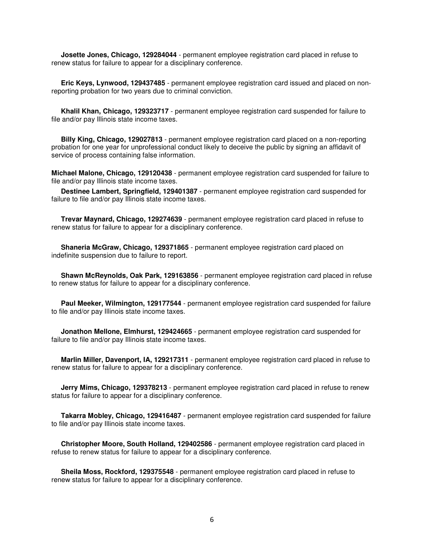**Josette Jones, Chicago, 129284044** - permanent employee registration card placed in refuse to renew status for failure to appear for a disciplinary conference.

 **Eric Keys, Lynwood, 129437485** - permanent employee registration card issued and placed on nonreporting probation for two years due to criminal conviction.

 **Khalil Khan, Chicago, 129323717** - permanent employee registration card suspended for failure to file and/or pay Illinois state income taxes.

 **Billy King, Chicago, 129027813** - permanent employee registration card placed on a non-reporting probation for one year for unprofessional conduct likely to deceive the public by signing an affidavit of service of process containing false information.

**Michael Malone, Chicago, 129120438** - permanent employee registration card suspended for failure to file and/or pay Illinois state income taxes.

 **Destinee Lambert, Springfield, 129401387** - permanent employee registration card suspended for failure to file and/or pay Illinois state income taxes.

 **Trevar Maynard, Chicago, 129274639** - permanent employee registration card placed in refuse to renew status for failure to appear for a disciplinary conference.

 **Shaneria McGraw, Chicago, 129371865** - permanent employee registration card placed on indefinite suspension due to failure to report.

 **Shawn McReynolds, Oak Park, 129163856** - permanent employee registration card placed in refuse to renew status for failure to appear for a disciplinary conference.

 **Paul Meeker, Wilmington, 129177544** - permanent employee registration card suspended for failure to file and/or pay Illinois state income taxes.

 **Jonathon Mellone, Elmhurst, 129424665** - permanent employee registration card suspended for failure to file and/or pay Illinois state income taxes.

 **Marlin Miller, Davenport, IA, 129217311** - permanent employee registration card placed in refuse to renew status for failure to appear for a disciplinary conference.

 **Jerry Mims, Chicago, 129378213** - permanent employee registration card placed in refuse to renew status for failure to appear for a disciplinary conference.

 **Takarra Mobley, Chicago, 129416487** - permanent employee registration card suspended for failure to file and/or pay Illinois state income taxes.

 **Christopher Moore, South Holland, 129402586** - permanent employee registration card placed in refuse to renew status for failure to appear for a disciplinary conference.

 **Sheila Moss, Rockford, 129375548** - permanent employee registration card placed in refuse to renew status for failure to appear for a disciplinary conference.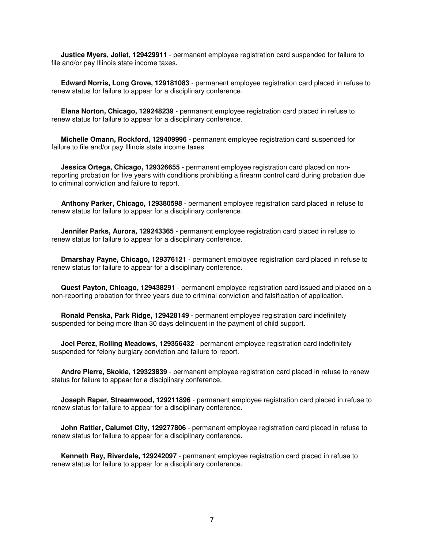**Justice Myers, Joliet, 129429911** - permanent employee registration card suspended for failure to file and/or pay Illinois state income taxes.

 **Edward Norris, Long Grove, 129181083** - permanent employee registration card placed in refuse to renew status for failure to appear for a disciplinary conference.

 **Elana Norton, Chicago, 129248239** - permanent employee registration card placed in refuse to renew status for failure to appear for a disciplinary conference.

 **Michelle Omann, Rockford, 129409996** - permanent employee registration card suspended for failure to file and/or pay Illinois state income taxes.

 **Jessica Ortega, Chicago, 129326655** - permanent employee registration card placed on nonreporting probation for five years with conditions prohibiting a firearm control card during probation due to criminal conviction and failure to report.

 **Anthony Parker, Chicago, 129380598** - permanent employee registration card placed in refuse to renew status for failure to appear for a disciplinary conference.

 **Jennifer Parks, Aurora, 129243365** - permanent employee registration card placed in refuse to renew status for failure to appear for a disciplinary conference.

 **Dmarshay Payne, Chicago, 129376121** - permanent employee registration card placed in refuse to renew status for failure to appear for a disciplinary conference.

 **Quest Payton, Chicago, 129438291** - permanent employee registration card issued and placed on a non-reporting probation for three years due to criminal conviction and falsification of application.

 **Ronald Penska, Park Ridge, 129428149** - permanent employee registration card indefinitely suspended for being more than 30 days delinquent in the payment of child support.

 **Joel Perez, Rolling Meadows, 129356432** - permanent employee registration card indefinitely suspended for felony burglary conviction and failure to report.

 **Andre Pierre, Skokie, 129323839** - permanent employee registration card placed in refuse to renew status for failure to appear for a disciplinary conference.

 **Joseph Raper, Streamwood, 129211896** - permanent employee registration card placed in refuse to renew status for failure to appear for a disciplinary conference.

 **John Rattler, Calumet City, 129277806** - permanent employee registration card placed in refuse to renew status for failure to appear for a disciplinary conference.

 **Kenneth Ray, Riverdale, 129242097** - permanent employee registration card placed in refuse to renew status for failure to appear for a disciplinary conference.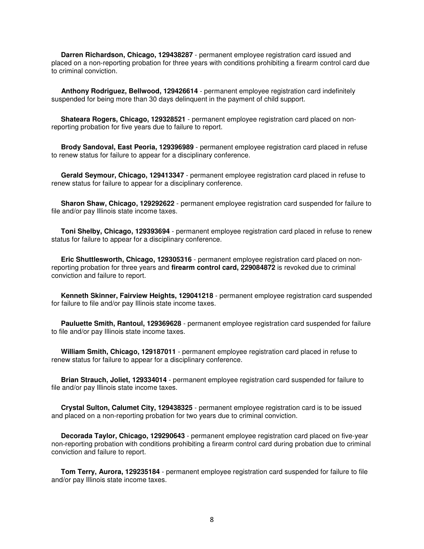**Darren Richardson, Chicago, 129438287** - permanent employee registration card issued and placed on a non-reporting probation for three years with conditions prohibiting a firearm control card due to criminal conviction.

 **Anthony Rodriguez, Bellwood, 129426614** - permanent employee registration card indefinitely suspended for being more than 30 days delinquent in the payment of child support.

 **Shateara Rogers, Chicago, 129328521** - permanent employee registration card placed on nonreporting probation for five years due to failure to report.

 **Brody Sandoval, East Peoria, 129396989** - permanent employee registration card placed in refuse to renew status for failure to appear for a disciplinary conference.

 **Gerald Seymour, Chicago, 129413347** - permanent employee registration card placed in refuse to renew status for failure to appear for a disciplinary conference.

 **Sharon Shaw, Chicago, 129292622** - permanent employee registration card suspended for failure to file and/or pay Illinois state income taxes.

 **Toni Shelby, Chicago, 129393694** - permanent employee registration card placed in refuse to renew status for failure to appear for a disciplinary conference.

 **Eric Shuttlesworth, Chicago, 129305316** - permanent employee registration card placed on nonreporting probation for three years and **firearm control card, 229084872** is revoked due to criminal conviction and failure to report.

 **Kenneth Skinner, Fairview Heights, 129041218** - permanent employee registration card suspended for failure to file and/or pay Illinois state income taxes.

 **Pauluette Smith, Rantoul, 129369628** - permanent employee registration card suspended for failure to file and/or pay Illinois state income taxes.

 **William Smith, Chicago, 129187011** - permanent employee registration card placed in refuse to renew status for failure to appear for a disciplinary conference.

 **Brian Strauch, Joliet, 129334014** - permanent employee registration card suspended for failure to file and/or pay Illinois state income taxes.

 **Crystal Sulton, Calumet City, 129438325** - permanent employee registration card is to be issued and placed on a non-reporting probation for two years due to criminal conviction.

 **Decorada Taylor, Chicago, 129290643** - permanent employee registration card placed on five-year non-reporting probation with conditions prohibiting a firearm control card during probation due to criminal conviction and failure to report.

 **Tom Terry, Aurora, 129235184** - permanent employee registration card suspended for failure to file and/or pay Illinois state income taxes.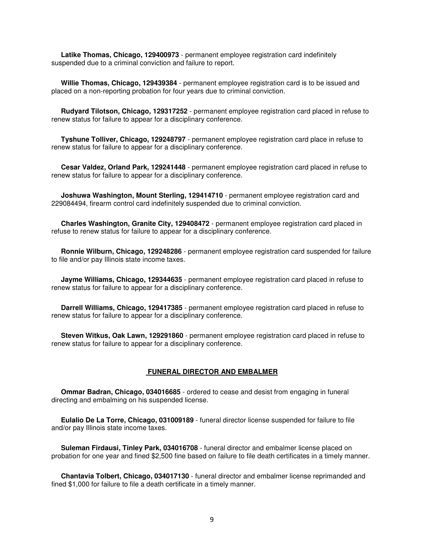**Latike Thomas, Chicago, 129400973** - permanent employee registration card indefinitely suspended due to a criminal conviction and failure to report.

 **Willie Thomas, Chicago, 129439384** - permanent employee registration card is to be issued and placed on a non-reporting probation for four years due to criminal conviction.

 **Rudyard Tilotson, Chicago, 129317252** - permanent employee registration card placed in refuse to renew status for failure to appear for a disciplinary conference.

 **Tyshune Tolliver, Chicago, 129248797** - permanent employee registration card place in refuse to renew status for failure to appear for a disciplinary conference.

 **Cesar Valdez, Orland Park, 129241448** - permanent employee registration card placed in refuse to renew status for failure to appear for a disciplinary conference.

 **Joshuwa Washington, Mount Sterling, 129414710** - permanent employee registration card and 229084494, firearm control card indefinitely suspended due to criminal conviction.

 **Charles Washington, Granite City, 129408472** - permanent employee registration card placed in refuse to renew status for failure to appear for a disciplinary conference.

 **Ronnie Wilburn, Chicago, 129248286** - permanent employee registration card suspended for failure to file and/or pay Illinois state income taxes.

 **Jayme Williams, Chicago, 129344635** - permanent employee registration card placed in refuse to renew status for failure to appear for a disciplinary conference.

 **Darrell Williams, Chicago, 129417385** - permanent employee registration card placed in refuse to renew status for failure to appear for a disciplinary conference.

 **Steven Witkus, Oak Lawn, 129291860** - permanent employee registration card placed in refuse to renew status for failure to appear for a disciplinary conference.

#### **FUNERAL DIRECTOR AND EMBALMER**

 **Ommar Badran, Chicago, 034016685** - ordered to cease and desist from engaging in funeral directing and embalming on his suspended license.

 **Eulalio De La Torre, Chicago, 031009189** - funeral director license suspended for failure to file and/or pay Illinois state income taxes.

 **Suleman Firdausi, Tinley Park, 034016708** - funeral director and embalmer license placed on probation for one year and fined \$2,500 fine based on failure to file death certificates in a timely manner.

 **Chantavia Tolbert, Chicago, 034017130** - funeral director and embalmer license reprimanded and fined \$1,000 for failure to file a death certificate in a timely manner.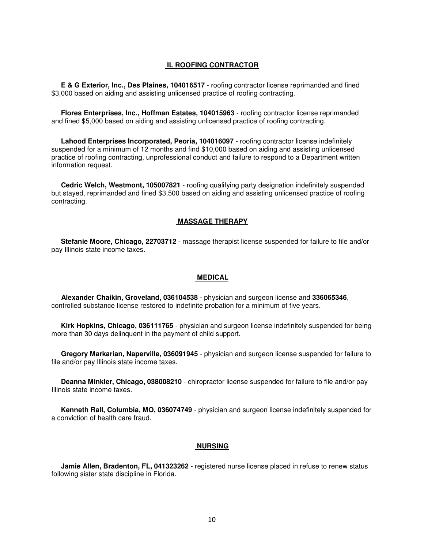#### **IL ROOFING CONTRACTOR**

 **E & G Exterior, Inc., Des Plaines, 104016517** - roofing contractor license reprimanded and fined \$3,000 based on aiding and assisting unlicensed practice of roofing contracting.

 **Flores Enterprises, Inc., Hoffman Estates, 104015963** - roofing contractor license reprimanded and fined \$5,000 based on aiding and assisting unlicensed practice of roofing contracting.

 **Lahood Enterprises Incorporated, Peoria, 104016097** - roofing contractor license indefinitely suspended for a minimum of 12 months and find \$10,000 based on aiding and assisting unlicensed practice of roofing contracting, unprofessional conduct and failure to respond to a Department written information request.

 **Cedric Welch, Westmont, 105007821** - roofing qualifying party designation indefinitely suspended but stayed, reprimanded and fined \$3,500 based on aiding and assisting unlicensed practice of roofing contracting.

#### **MASSAGE THERAPY**

 **Stefanie Moore, Chicago, 22703712** - massage therapist license suspended for failure to file and/or pay Illinois state income taxes.

#### **MEDICAL**

 **Alexander Chaikin, Groveland, 036104538** - physician and surgeon license and **336065346**, controlled substance license restored to indefinite probation for a minimum of five years.

 **Kirk Hopkins, Chicago, 036111765** - physician and surgeon license indefinitely suspended for being more than 30 days delinquent in the payment of child support.

 **Gregory Markarian, Naperville, 036091945** - physician and surgeon license suspended for failure to file and/or pay Illinois state income taxes.

 **Deanna Minkler, Chicago, 038008210** - chiropractor license suspended for failure to file and/or pay Illinois state income taxes.

 **Kenneth Rall, Columbia, MO, 036074749** - physician and surgeon license indefinitely suspended for a conviction of health care fraud.

#### **NURSING**

 **Jamie Allen, Bradenton, FL, 041323262** - registered nurse license placed in refuse to renew status following sister state discipline in Florida.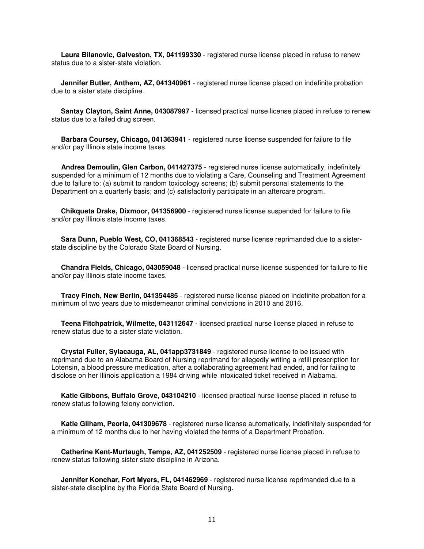**Laura Bilanovic, Galveston, TX, 041199330** - registered nurse license placed in refuse to renew status due to a sister-state violation.

 **Jennifer Butler, Anthem, AZ, 041340961** - registered nurse license placed on indefinite probation due to a sister state discipline.

 **Santay Clayton, Saint Anne, 043087997** - licensed practical nurse license placed in refuse to renew status due to a failed drug screen.

 **Barbara Coursey, Chicago, 041363941** - registered nurse license suspended for failure to file and/or pay Illinois state income taxes.

 **Andrea Demoulin, Glen Carbon, 041427375** - registered nurse license automatically, indefinitely suspended for a minimum of 12 months due to violating a Care, Counseling and Treatment Agreement due to failure to: (a) submit to random toxicology screens; (b) submit personal statements to the Department on a quarterly basis; and (c) satisfactorily participate in an aftercare program.

 **Chikqueta Drake, Dixmoor, 041356900** - registered nurse license suspended for failure to file and/or pay Illinois state income taxes.

 **Sara Dunn, Pueblo West, CO, 041368543** - registered nurse license reprimanded due to a sisterstate discipline by the Colorado State Board of Nursing.

 **Chandra Fields, Chicago, 043059048** - licensed practical nurse license suspended for failure to file and/or pay Illinois state income taxes.

 **Tracy Finch, New Berlin, 041354485** - registered nurse license placed on indefinite probation for a minimum of two years due to misdemeanor criminal convictions in 2010 and 2016.

 **Teena Fitchpatrick, Wilmette, 043112647** - licensed practical nurse license placed in refuse to renew status due to a sister state violation.

 **Crystal Fuller, Sylacauga, AL, 041app3731849** - registered nurse license to be issued with reprimand due to an Alabama Board of Nursing reprimand for allegedly writing a refill prescription for Lotensin, a blood pressure medication, after a collaborating agreement had ended, and for failing to disclose on her Illinois application a 1984 driving while intoxicated ticket received in Alabama.

 **Katie Gibbons, Buffalo Grove, 043104210** - licensed practical nurse license placed in refuse to renew status following felony conviction.

 **Katie Gilham, Peoria, 041309678** - registered nurse license automatically, indefinitely suspended for a minimum of 12 months due to her having violated the terms of a Department Probation.

 **Catherine Kent-Murtaugh, Tempe, AZ, 041252509** - registered nurse license placed in refuse to renew status following sister state discipline in Arizona.

 **Jennifer Konchar, Fort Myers, FL, 041462969** - registered nurse license reprimanded due to a sister-state discipline by the Florida State Board of Nursing.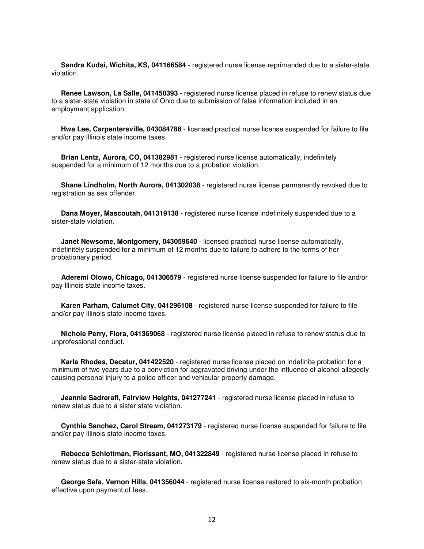**Sandra Kudsi, Wichita, KS, 041166584** - registered nurse license reprimanded due to a sister-state violation.

 **Renee Lawson, La Salle, 041450393** - registered nurse license placed in refuse to renew status due to a sister-state violation in state of Ohio due to submission of false information included in an employment application.

 **Hwa Lee, Carpentersville, 043084788** - licensed practical nurse license suspended for failure to file and/or pay Illinois state income taxes.

 **Brian Lentz, Aurora, CO, 041382981** - registered nurse license automatically, indefinitely suspended for a minimum of 12 months due to a probation violation.

 **Shane Lindholm, North Aurora, 041302038** - registered nurse license permanently revoked due to registration as sex offender.

 **Dana Moyer, Mascoutah, 041319138** - registered nurse license indefinitely suspended due to a sister-state violation.

 **Janet Newsome, Montgomery, 043059640** - licensed practical nurse license automatically, indefinitely suspended for a minimum of 12 months due to failure to adhere to the terms of her probationary period.

 **Aderemi Olowo, Chicago, 041306579** - registered nurse license suspended for failure to file and/or pay Illinois state income taxes.

 **Karen Parham, Calumet City, 041296108** - registered nurse license suspended for failure to file and/or pay Illinois state income taxes.

 **Nichole Perry, Flora, 041369068** - registered nurse license placed in refuse to renew status due to unprofessional conduct.

 **Karla Rhodes, Decatur, 041422520** - registered nurse license placed on indefinite probation for a minimum of two years due to a conviction for aggravated driving under the influence of alcohol allegedly causing personal injury to a police officer and vehicular property damage.

 **Jeannie Sadrerafi, Fairview Heights, 041277241** - registered nurse license placed in refuse to renew status due to a sister state violation.

 **Cynthia Sanchez, Carol Stream, 041273179** - registered nurse license suspended for failure to file and/or pay Illinois state income taxes.

 **Rebecca Schlottman, Florissant, MO, 041322849** - registered nurse license placed in refuse to renew status due to a sister-state violation.

 **George Sefa, Vernon Hills, 041356044** - registered nurse license restored to six-month probation effective upon payment of fees.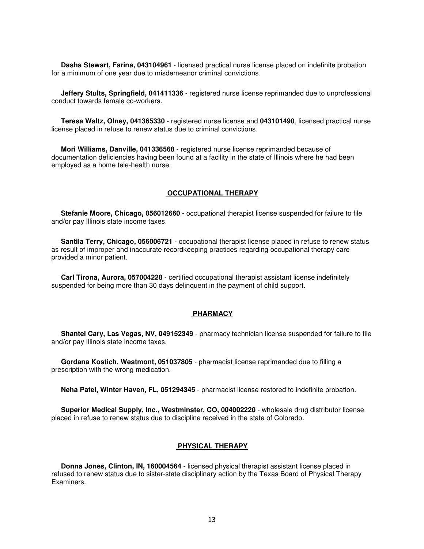**Dasha Stewart, Farina, 043104961** - licensed practical nurse license placed on indefinite probation for a minimum of one year due to misdemeanor criminal convictions.

 **Jeffery Stults, Springfield, 041411336** - registered nurse license reprimanded due to unprofessional conduct towards female co-workers.

 **Teresa Waltz, Olney, 041365330** - registered nurse license and **043101490**, licensed practical nurse license placed in refuse to renew status due to criminal convictions.

 **Mori Williams, Danville, 041336568** - registered nurse license reprimanded because of documentation deficiencies having been found at a facility in the state of Illinois where he had been employed as a home tele-health nurse.

#### **OCCUPATIONAL THERAPY**

 **Stefanie Moore, Chicago, 056012660** - occupational therapist license suspended for failure to file and/or pay Illinois state income taxes.

 **Santila Terry, Chicago, 056006721** - occupational therapist license placed in refuse to renew status as result of improper and inaccurate recordkeeping practices regarding occupational therapy care provided a minor patient.

 **Carl Tirona, Aurora, 057004228** - certified occupational therapist assistant license indefinitely suspended for being more than 30 days delinquent in the payment of child support.

#### **PHARMACY**

 **Shantel Cary, Las Vegas, NV, 049152349** - pharmacy technician license suspended for failure to file and/or pay Illinois state income taxes.

 **Gordana Kostich, Westmont, 051037805** - pharmacist license reprimanded due to filling a prescription with the wrong medication.

**Neha Patel, Winter Haven, FL, 051294345** - pharmacist license restored to indefinite probation.

 **Superior Medical Supply, Inc., Westminster, CO, 004002220** - wholesale drug distributor license placed in refuse to renew status due to discipline received in the state of Colorado.

## **PHYSICAL THERAPY**

 **Donna Jones, Clinton, IN, 160004564** - licensed physical therapist assistant license placed in refused to renew status due to sister-state disciplinary action by the Texas Board of Physical Therapy Examiners.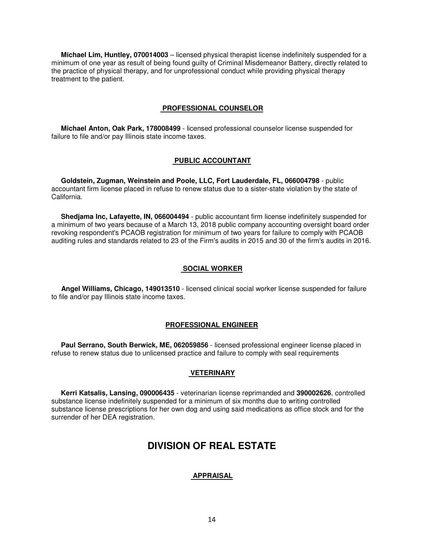**Michael Lim, Huntley, 070014003** – licensed physical therapist license indefinitely suspended for a minimum of one year as result of being found guilty of Criminal Misdemeanor Battery, directly related to the practice of physical therapy, and for unprofessional conduct while providing physical therapy treatment to the patient.

#### **PROFESSIONAL COUNSELOR**

 **Michael Anton, Oak Park, 178008499** - licensed professional counselor license suspended for failure to file and/or pay Illinois state income taxes.

#### **PUBLIC ACCOUNTANT**

 **Goldstein, Zugman, Weinstein and Poole, LLC, Fort Lauderdale, FL, 066004798** - public accountant firm license placed in refuse to renew status due to a sister-state violation by the state of California.

 **Shedjama Inc, Lafayette, IN, 066004494** - public accountant firm license indefinitely suspended for a minimum of two years because of a March 13, 2018 public company accounting oversight board order revoking respondent's PCAOB registration for minimum of two years for failure to comply with PCAOB auditing rules and standards related to 23 of the Firm's audits in 2015 and 30 of the firm's audits in 2016.

#### **SOCIAL WORKER**

 **Angel Williams, Chicago, 149013510** - licensed clinical social worker license suspended for failure to file and/or pay Illinois state income taxes.

#### **PROFESSIONAL ENGINEER**

 **Paul Serrano, South Berwick, ME, 062059856** - licensed professional engineer license placed in refuse to renew status due to unlicensed practice and failure to comply with seal requirements

#### **VETERINARY**

 **Kerri Katsalis, Lansing, 090006435** - veterinarian license reprimanded and **390002626**, controlled substance license indefinitely suspended for a minimum of six months due to writing controlled substance license prescriptions for her own dog and using said medications as office stock and for the surrender of her DEA registration.

# **DIVISION OF REAL ESTATE**

#### **APPRAISAL**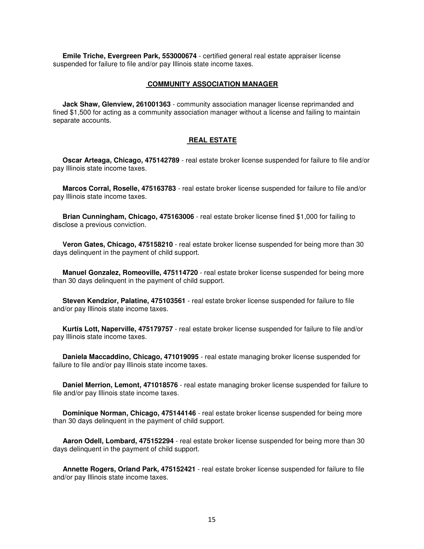**Emile Triche, Evergreen Park, 553000674** - certified general real estate appraiser license suspended for failure to file and/or pay Illinois state income taxes.

#### **COMMUNITY ASSOCIATION MANAGER**

 **Jack Shaw, Glenview, 261001363** - community association manager license reprimanded and fined \$1,500 for acting as a community association manager without a license and failing to maintain separate accounts.

#### **REAL ESTATE**

 **Oscar Arteaga, Chicago, 475142789** - real estate broker license suspended for failure to file and/or pay Illinois state income taxes.

 **Marcos Corral, Roselle, 475163783** - real estate broker license suspended for failure to file and/or pay Illinois state income taxes.

 **Brian Cunningham, Chicago, 475163006** - real estate broker license fined \$1,000 for failing to disclose a previous conviction.

 **Veron Gates, Chicago, 475158210** - real estate broker license suspended for being more than 30 days delinquent in the payment of child support.

 **Manuel Gonzalez, Romeoville, 475114720** - real estate broker license suspended for being more than 30 days delinquent in the payment of child support.

 **Steven Kendzior, Palatine, 475103561** - real estate broker license suspended for failure to file and/or pay Illinois state income taxes.

 **Kurtis Lott, Naperville, 475179757** - real estate broker license suspended for failure to file and/or pay Illinois state income taxes.

 **Daniela Maccaddino, Chicago, 471019095** - real estate managing broker license suspended for failure to file and/or pay Illinois state income taxes.

 **Daniel Merrion, Lemont, 471018576** - real estate managing broker license suspended for failure to file and/or pay Illinois state income taxes.

 **Dominique Norman, Chicago, 475144146** - real estate broker license suspended for being more than 30 days delinquent in the payment of child support.

 **Aaron Odell, Lombard, 475152294** - real estate broker license suspended for being more than 30 days delinquent in the payment of child support.

 **Annette Rogers, Orland Park, 475152421** - real estate broker license suspended for failure to file and/or pay Illinois state income taxes.